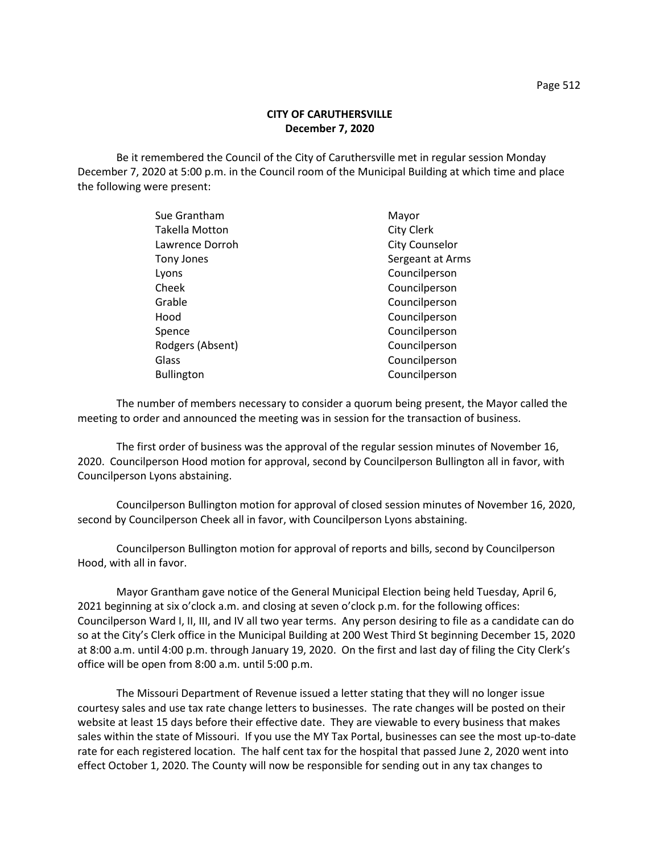## **CITY OF CARUTHERSVILLE December 7, 2020**

Be it remembered the Council of the City of Caruthersville met in regular session Monday December 7, 2020 at 5:00 p.m. in the Council room of the Municipal Building at which time and place the following were present:

| Mayor                 |
|-----------------------|
| <b>City Clerk</b>     |
| <b>City Counselor</b> |
| Sergeant at Arms      |
| Councilperson         |
| Councilperson         |
| Councilperson         |
| Councilperson         |
| Councilperson         |
| Councilperson         |
| Councilperson         |
| Councilperson         |
|                       |

The number of members necessary to consider a quorum being present, the Mayor called the meeting to order and announced the meeting was in session for the transaction of business.

The first order of business was the approval of the regular session minutes of November 16, 2020. Councilperson Hood motion for approval, second by Councilperson Bullington all in favor, with Councilperson Lyons abstaining.

Councilperson Bullington motion for approval of closed session minutes of November 16, 2020, second by Councilperson Cheek all in favor, with Councilperson Lyons abstaining.

Councilperson Bullington motion for approval of reports and bills, second by Councilperson Hood, with all in favor.

Mayor Grantham gave notice of the General Municipal Election being held Tuesday, April 6, 2021 beginning at six o'clock a.m. and closing at seven o'clock p.m. for the following offices: Councilperson Ward I, II, III, and IV all two year terms. Any person desiring to file as a candidate can do so at the City's Clerk office in the Municipal Building at 200 West Third St beginning December 15, 2020 at 8:00 a.m. until 4:00 p.m. through January 19, 2020. On the first and last day of filing the City Clerk's office will be open from 8:00 a.m. until 5:00 p.m.

The Missouri Department of Revenue issued a letter stating that they will no longer issue courtesy sales and use tax rate change letters to businesses. The rate changes will be posted on their website at least 15 days before their effective date. They are viewable to every business that makes sales within the state of Missouri. If you use the MY Tax Portal, businesses can see the most up-to-date rate for each registered location. The half cent tax for the hospital that passed June 2, 2020 went into effect October 1, 2020. The County will now be responsible for sending out in any tax changes to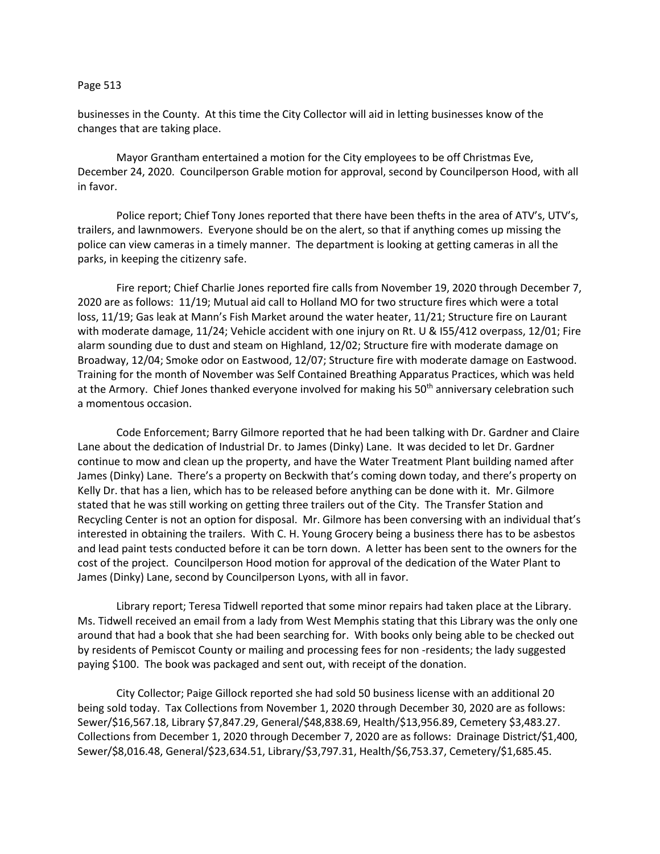## Page 513

businesses in the County. At this time the City Collector will aid in letting businesses know of the changes that are taking place.

Mayor Grantham entertained a motion for the City employees to be off Christmas Eve, December 24, 2020. Councilperson Grable motion for approval, second by Councilperson Hood, with all in favor.

Police report; Chief Tony Jones reported that there have been thefts in the area of ATV's, UTV's, trailers, and lawnmowers. Everyone should be on the alert, so that if anything comes up missing the police can view cameras in a timely manner. The department is looking at getting cameras in all the parks, in keeping the citizenry safe.

Fire report; Chief Charlie Jones reported fire calls from November 19, 2020 through December 7, 2020 are as follows: 11/19; Mutual aid call to Holland MO for two structure fires which were a total loss, 11/19; Gas leak at Mann's Fish Market around the water heater, 11/21; Structure fire on Laurant with moderate damage, 11/24; Vehicle accident with one injury on Rt. U & I55/412 overpass, 12/01; Fire alarm sounding due to dust and steam on Highland, 12/02; Structure fire with moderate damage on Broadway, 12/04; Smoke odor on Eastwood, 12/07; Structure fire with moderate damage on Eastwood. Training for the month of November was Self Contained Breathing Apparatus Practices, which was held at the Armory. Chief Jones thanked everyone involved for making his 50<sup>th</sup> anniversary celebration such a momentous occasion.

Code Enforcement; Barry Gilmore reported that he had been talking with Dr. Gardner and Claire Lane about the dedication of Industrial Dr. to James (Dinky) Lane. It was decided to let Dr. Gardner continue to mow and clean up the property, and have the Water Treatment Plant building named after James (Dinky) Lane. There's a property on Beckwith that's coming down today, and there's property on Kelly Dr. that has a lien, which has to be released before anything can be done with it. Mr. Gilmore stated that he was still working on getting three trailers out of the City. The Transfer Station and Recycling Center is not an option for disposal. Mr. Gilmore has been conversing with an individual that's interested in obtaining the trailers. With C. H. Young Grocery being a business there has to be asbestos and lead paint tests conducted before it can be torn down. A letter has been sent to the owners for the cost of the project. Councilperson Hood motion for approval of the dedication of the Water Plant to James (Dinky) Lane, second by Councilperson Lyons, with all in favor.

Library report; Teresa Tidwell reported that some minor repairs had taken place at the Library. Ms. Tidwell received an email from a lady from West Memphis stating that this Library was the only one around that had a book that she had been searching for. With books only being able to be checked out by residents of Pemiscot County or mailing and processing fees for non -residents; the lady suggested paying \$100. The book was packaged and sent out, with receipt of the donation.

City Collector; Paige Gillock reported she had sold 50 business license with an additional 20 being sold today. Tax Collections from November 1, 2020 through December 30, 2020 are as follows: Sewer/\$16,567.18, Library \$7,847.29, General/\$48,838.69, Health/\$13,956.89, Cemetery \$3,483.27. Collections from December 1, 2020 through December 7, 2020 are as follows: Drainage District/\$1,400, Sewer/\$8,016.48, General/\$23,634.51, Library/\$3,797.31, Health/\$6,753.37, Cemetery/\$1,685.45.